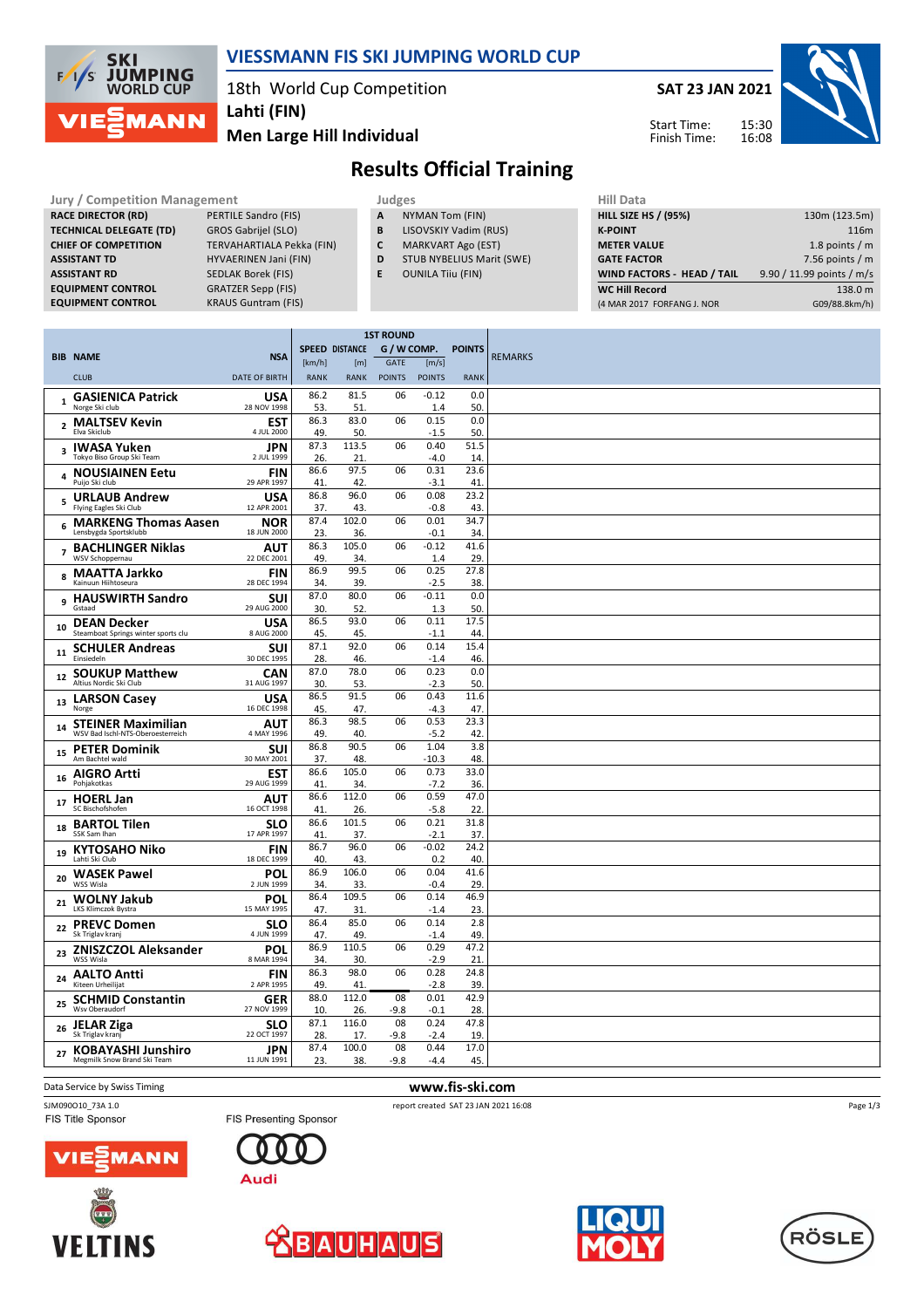

### **VIESSMANN FIS SKI JUMPING WORLD CUP**

18th World Cup Competition

**Men Large Hill Individual Lahti (FIN)**

**SAT 23 JAN 2021**



Start Time: Finish Time:

# **Results Official Training**

#### **Jury / Competition Management Management According Structure Judges According Hill Data RACE DIRECTOR (RD)** PERTILE Sandro (FIS) **TECHNICAL DELEGATE (TD)** GROS Gabrijel (SLO) **CHIEF OF COMPETITION** TERVAHARTIALA Pekka (FIN) **ASSISTANT TD** HYVAERINEN Jani (FIN) **ASSISTANT RD** SEDLAK Borek (FIS) **EQUIPMENT CONTROL GRATZER Sepp (FIS)**<br>**EQUIPMENT CONTROL KRAUS Guntram (FIS**

**KRAUS Guntram (FIS)** 

- 
- **A** NYMAN Tom (FIN) **B** LISOVSKIY Vadim (RUS)
- **C** MARKVART Ago (EST)
- **D** STUB NYBELIUS Marit (SWE)
- **E** OUNILA Tiiu (FIN)
- **HILL SIZE HS / (95%)** 130m (123.5m) **K-POINT** 116m **METER VALUE** 1.8 points / m **GATE FACTOR** 6 and 10 and 10 and 10 and 10 and 10 and 10 and 10 and 10 and 10 and 10 and 10 and 10 and 10 and 10 and 10 and 10 and 10 and 10 and 10 and 10 and 10 and 10 and 10 and 10 and 10 and 10 and 10 and 10 and 10 and **WIND FACTORS - HEAD / TAIL** 9.90 / 11.99 points / m/s **WC Hill Record** 138.0 m (4 MAR 2017 FORFANG J. NOR G09/88.8km/h)

|                         |                                                                |                           | <b>1ST ROUND</b>              |              |               |                 |               |                |
|-------------------------|----------------------------------------------------------------|---------------------------|-------------------------------|--------------|---------------|-----------------|---------------|----------------|
|                         | <b>BIB NAME</b>                                                | <b>NSA</b>                | G / W COMP.<br>SPEED DISTANCE |              |               |                 | <b>POINTS</b> | <b>REMARKS</b> |
|                         |                                                                |                           | [km/h]                        | [m]          | GATE          | [m/s]           |               |                |
|                         | <b>CLUB</b>                                                    | <b>DATE OF BIRTH</b>      | <b>RANK</b>                   | <b>RANK</b>  | <b>POINTS</b> | <b>POINTS</b>   | <b>RANK</b>   |                |
|                         | 1 GASIENICA Patrick<br>Norge Ski club                          | <b>USA</b><br>28 NOV 1998 | 86.2<br>53.                   | 81.5<br>51   | 06            | $-0.12$<br>1.4  | 0.0<br>50.    |                |
|                         | <b>MALTSEV Kevin</b>                                           | <b>EST</b>                | 86.3                          | 83.0         | 06            | 0.15            | 0.0           |                |
| $\overline{2}$          | Elva Skiclub                                                   | 4 JUL 2000                | 49.                           | 50.          |               | $-1.5$          | 50.           |                |
| $\overline{\mathbf{3}}$ | IWASA Yuken<br>Tokyo Biso Group Ski Team                       | <b>JPN</b><br>2 JUL 1999  | 87.3<br>26.                   | 113.5<br>21. | 06            | 0.40<br>$-4.0$  | 51.5<br>14.   |                |
| $\overline{a}$          | <b>NOUSIAINEN Eetu</b><br>Puijo Ski club                       | <b>FIN</b><br>29 APR 1997 | 86.6<br>41                    | 97.5<br>42   | 06            | 0.31<br>$-3.1$  | 23.6<br>41    |                |
| 5                       | <b>URLAUB Andrew</b><br>Flying Eagles Ski Club                 | <b>USA</b><br>12 APR 2001 | 86.8<br>37.                   | 96.0<br>43.  | 06            | 0.08<br>$-0.8$  | 23.2<br>43.   |                |
| 6                       | <b>MARKENG Thomas Aasen</b><br>Lensbygda Sportsklubb           | <b>NOR</b><br>18 JUN 2000 | 87.4<br>23.                   | 102.0<br>36. | 06            | 0.01<br>$-0.1$  | 34.7<br>34.   |                |
| $\overline{7}$          | <b>BACHLINGER Niklas</b><br>WSV Schoppernau                    | AUT<br>22 DEC 2001        | 86.3<br>49                    | 105.0<br>34. | 06            | $-0.12$<br>1.4  | 41.6<br>29.   |                |
|                         | <b>MAATTA Jarkko</b>                                           | <b>FIN</b>                | 86.9                          | 99.5         | 06            | 0.25            | 27.8          |                |
| 8                       | Kainuun Hiihtoseura                                            | 28 DEC 1994               | 34.                           | 39.          |               | $-2.5$          | 38.           |                |
| 9                       | <b>HAUSWIRTH Sandro</b><br>Gstaad                              | <b>SUI</b><br>29 AUG 2000 | 87.0<br>30.                   | 80.0<br>52.  | 06            | $-0.11$<br>1.3  | 0.0<br>50.    |                |
| 10                      | <b>DEAN Decker</b><br>Steamboat Springs winter sports clu      | <b>USA</b><br>8 AUG 2000  | 86.5<br>45.                   | 93.0<br>45.  | 06            | 0.11<br>$-1.1$  | 17.5<br>44.   |                |
| 11                      | <b>SCHULER Andreas</b><br>Finsiedeln                           | <b>SUI</b><br>30 DEC 1995 | 87.1<br>28.                   | 92.0<br>46.  | 06            | 0.14<br>$-1.4$  | 15.4<br>46    |                |
| 12                      | <b>SOUKUP Matthew</b><br>Altius Nordic Ski Club                | <b>CAN</b><br>31 AUG 1997 | 87.0<br>30.                   | 78.0<br>53.  | 06            | 0.23<br>$-2.3$  | 0.0<br>50.    |                |
| 13                      | <b>LARSON Casey</b><br>Norge                                   | <b>USA</b><br>16 DEC 1998 | 86.5<br>45                    | 91.5<br>47.  | 06            | 0.43<br>$-4.3$  | 11.6<br>47.   |                |
| 14                      | <b>STEINER Maximilian</b><br>WSV Bad Ischl-NTS-Oberoesterreich | AUT<br>4 MAY 1996         | 86.3<br>49.                   | 98.5<br>40.  | 06            | 0.53<br>$-5.2$  | 23.3<br>42.   |                |
| 15                      | <b>PETER Dominik</b><br>Am Bachtel wald                        | SUI<br>30 MAY 2001        | 86.8                          | 90.5         | 06            | 1.04            | 3.8           |                |
|                         | <b>AIGRO Artti</b>                                             | <b>EST</b>                | 37.<br>86.6                   | 48.<br>105.0 | 06            | $-10.3$<br>0.73 | 48.<br>33.0   |                |
| 16                      | Pohiakotkas                                                    | 29 AUG 1999               | 41                            | 34.          |               | $-7.2$          | 36.           |                |
| 17                      | <b>HOERL Jan</b><br>SC Bischofshofen                           | <b>AUT</b><br>16 OCT 1998 | 86.6<br>41                    | 112.0<br>26. | 06            | 0.59<br>$-5.8$  | 47.0<br>22.   |                |
| 18                      | <b>BARTOL Tilen</b><br>SSK Sam Ihan                            | <b>SLO</b><br>17 APR 1997 | 86.6<br>41                    | 101.5<br>37. | 06            | 0.21<br>$-2.1$  | 31.8<br>37.   |                |
|                         | <b>KYTOSAHO Niko</b>                                           | <b>FIN</b>                | 86.7                          | 96.0         | 06            | $-0.02$         | 24.2          |                |
| 19                      | Lahti Ski Club                                                 | 18 DEC 1999               | 40.                           | 43           |               | 0.2             | 40.           |                |
| 20                      | <b>WASEK Pawel</b><br>WSS Wisla                                | <b>POL</b><br>2 JUN 1999  | 86.9<br>34.                   | 106.0<br>33. | 06            | 0.04<br>$-0.4$  | 41.6<br>29.   |                |
| 21                      | <b>WOLNY Jakub</b><br>LKS Klimczok Bystra                      | POL<br>15 MAY 1995        | 86.4<br>47                    | 109.5<br>31. | 06            | 0.14<br>$-1.4$  | 46.9<br>23.   |                |
| 22                      | <b>PREVC Domen</b><br>Sk Triglav kranj                         | <b>SLO</b><br>4 JUN 1999  | 86.4<br>47                    | 85.0<br>49.  | 06            | 0.14<br>$-1.4$  | 2.8<br>49.    |                |
| 23                      | <b>ZNISZCZOL Aleksander</b><br>WSS Wisla                       | <b>POL</b><br>8 MAR 1994  | 86.9<br>34                    | 110.5<br>30. | 06            | 0.29<br>$-2.9$  | 47.2<br>21.   |                |
| 24                      | <b>AALTO Antti</b><br>Kiteen Urheilijat                        | <b>FIN</b><br>2 APR 1995  | 86.3<br>49.                   | 98.0<br>41.  | 06            | 0.28<br>$-2.8$  | 24.8<br>39.   |                |
| 25                      | <b>SCHMID Constantin</b>                                       | GER                       | 88.0                          | 112.0        | 08            | 0.01            | 42.9          |                |
|                         | Wsv Oberaudorf<br><b>JELAR Ziga</b>                            | 27 NOV 1999<br><b>SLO</b> | 10<br>87.1                    | 26.<br>116.0 | $-9.8$<br>08  | $-0.1$<br>0.24  | 28.<br>47.8   |                |
| 26                      | Sk Triglav kranj                                               | 22 OCT 1997               | 28.                           | 17.          | $-9.8$        | $-2.4$          | 19.           |                |
| 27                      | <b>KOBAYASHI Junshiro</b><br>Megmilk Snow Brand Ski Team       | JPN<br>11 JUN 1991        | 87.4<br>23                    | 100.0<br>38. | 08<br>$-9.8$  | 0.44<br>$-4.4$  | 17.0<br>45.   |                |
|                         |                                                                |                           |                               |              |               |                 |               |                |

FIS Title Sponsor

Data Service by Swiss Timing **www.fis-ski.com** 

SJM090O10\_73A 1.0 **report created SAT 23 JAN 2021 16:08** FIS Presenting Sponsor













Page 1/3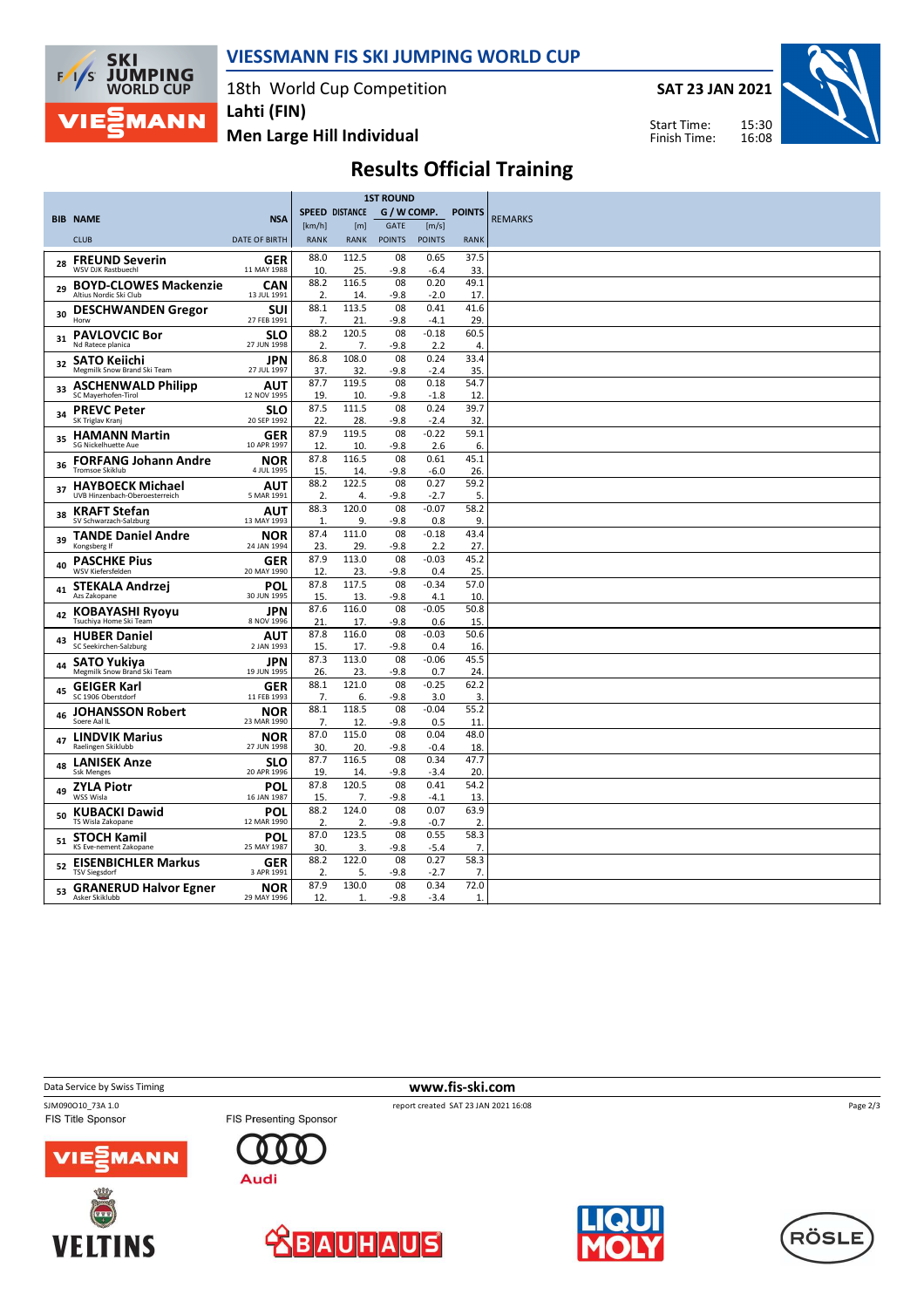

### **VIESSMANN FIS SKI JUMPING WORLD CUP**

18th World Cup Competition

**SAT 23 JAN 2021**

Start Time: Finish Time:



**Men Large Hill Individual**

# **Results Official Training**

|    |                                                           |                           | <b>1ST ROUND</b>     |                                      |               |                |                        |                |
|----|-----------------------------------------------------------|---------------------------|----------------------|--------------------------------------|---------------|----------------|------------------------|----------------|
|    | <b>BIB NAME</b>                                           | <b>NSA</b>                |                      | G / W COMP.<br><b>SPEED DISTANCE</b> |               |                | <b>POINTS</b>          | <b>REMARKS</b> |
|    |                                                           |                           | [km/h]               | [m]                                  | GATE          | [m/s]          |                        |                |
|    | <b>CLUB</b>                                               | <b>DATE OF BIRTH</b>      | <b>RANK</b>          | <b>RANK</b>                          | <b>POINTS</b> | <b>POINTS</b>  | <b>RANK</b>            |                |
| 28 | <b>FREUND Severin</b><br>WSV DJK Rastbuechl               | <b>GER</b><br>11 MAY 1988 | 88.0<br>10.          | 112.5<br>25.                         | 08<br>-9.8    | 0.65<br>-6.4   | 37.5<br>33             |                |
| 29 | <b>BOYD-CLOWES Mackenzie</b><br>Altius Nordic Ski Club    | CAN<br>13 JUL 1991        | 88.2<br>2.           | 116.5<br>14                          | 08<br>$-9.8$  | 0.20<br>$-2.0$ | 49.1<br>17             |                |
|    | <b>DESCHWANDEN Gregor</b>                                 | SUI                       | 88.1                 | 113.5                                | 08            | 0.41           | 41.6                   |                |
| 30 | Horw                                                      | 27 FEB 1991               | 7.                   | 21.                                  | $-9.8$        | -4.1           | 29.                    |                |
| 31 | <b>PAVLOVCIC Bor</b><br>Nd Ratece planica                 | <b>SLO</b><br>27 JUN 1998 | 88.2<br>2.           | 120.5<br>7.                          | 08<br>$-9.8$  | $-0.18$<br>2.2 | 60.5<br>$\overline{4}$ |                |
| 32 | <b>SATO Kejichi</b><br>Megmilk Snow Brand Ski Team        | JPN<br>27 JUL 1997        | 86.8<br>37.          | 108.0<br>32                          | 08<br>$-9.8$  | 0.24<br>$-2.4$ | 33.4<br>35.            |                |
|    | <b>ASCHENWALD Philipp</b>                                 | AUT                       | 87.7                 | 119.5                                | 08            | 0.18           | 54.7                   |                |
| 33 | SC Maverhofen-Tirol                                       | 12 NOV 1995               | 19.                  | 10                                   | $-9.8$        | $-1.8$         | 12                     |                |
| 34 | <b>PREVC Peter</b><br>SK Triglav Kranj                    | <b>SLO</b><br>20 SEP 1992 | 87.5<br>22.          | 111.5<br>28.                         | 08<br>-9.8    | 0.24<br>$-2.4$ | 39.7<br>32.            |                |
|    | <b>HAMANN Martin</b>                                      | <b>GER</b>                | 87.9                 | 119.5                                | 08            | $-0.22$        | 59.1                   |                |
| 35 | SG Nickelhuette Aue                                       | 10 APR 1997               | 12.                  | 10.                                  | $-9.8$        | 2.6            | 6.                     |                |
| 36 | <b>FORFANG Johann Andre</b><br><b>Tromsoe Skiklub</b>     | <b>NOR</b>                | 87.8                 | 116.5                                | 08            | 0.61           | 45.1                   |                |
|    |                                                           | 4 JUL 1995                | 15.<br>88.2          | 14<br>122.5                          | $-9.8$<br>08  | $-6.0$<br>0.27 | 26<br>59.2             |                |
| 37 | <b>HAYBOECK Michael</b><br>UVB Hinzenbach-Oberoesterreich | AUT<br>5 MAR 1991         | 2.                   | 4.                                   | -9.8          | -2.7           | 5.                     |                |
| 38 | <b>KRAFT Stefan</b><br>SV Schwarzach-Salzburg             | <b>AUT</b><br>13 MAY 1993 | 88.3                 | 120.0<br>9.                          | 08<br>$-9.8$  | $-0.07$        | 58.2<br>9.             |                |
|    | <b>TANDE Daniel Andre</b>                                 | <b>NOR</b>                | $\mathbf{1}$<br>87.4 | 111.0                                | 08            | 0.8<br>$-0.18$ | 43.4                   |                |
| 39 | Kongsberg If                                              | 24 JAN 1994               | 23.                  | 29.                                  | $-9.8$        | 2.2            | 27.                    |                |
| 40 | <b>PASCHKE Pius</b><br>WSV Kiefersfelden                  | GER<br>20 MAY 1990        | 87.9<br>12           | 113.0<br>23.                         | 08<br>-9.8    | $-0.03$<br>0.4 | 45.2<br>25.            |                |
| 41 | <b>STEKALA Andrzej</b>                                    | POL                       | 87.8                 | 117.5                                | 08            | $-0.34$        | 57.0                   |                |
|    | Azs Zakopane                                              | 30 JUN 1995               | 15.                  | 13.                                  | $-9.8$        | 4.1            | 10                     |                |
| 42 | <b>KOBAYASHI Ryoyu</b><br>Tsuchiya Home Ski Team          | <b>JPN</b><br>8 NOV 1996  | 87.6<br>21           | 116.0<br>17                          | 08<br>$-9.8$  | $-0.05$<br>0.6 | 50.8<br>15             |                |
|    | <b>HUBER Daniel</b>                                       | AUT                       | 87.8                 | 116.0                                | 08            | $-0.03$        | 50.6                   |                |
| 43 | SC Seekirchen-Salzburg                                    | 2 JAN 1993                | 15.                  | 17.                                  | $-9.8$        | 0.4            | 16                     |                |
| 44 | <b>SATO Yukiya</b>                                        | JPN                       | 87.3                 | 113.0                                | 08            | $-0.06$        | 45.5                   |                |
|    | Megmilk Snow Brand Ski Team                               | 19 JUN 1995               | 26.<br>88.1          | 23.<br>121.0                         | $-9.8$<br>08  | 0.7<br>$-0.25$ | 24<br>62.2             |                |
| 45 | <b>GEIGER Karl</b><br>SC 1906 Oberstdorf                  | <b>GER</b><br>11 FEB 1993 | 7.                   | 6.                                   | -9.8          | 3.0            | 3.                     |                |
| 46 | <b>JOHANSSON Robert</b>                                   | <b>NOR</b>                | 88.1                 | 118.5                                | 08            | $-0.04$        | 55.2                   |                |
|    | Soere Aal IL                                              | 23 MAR 1990               | 7.<br>87.0           | 12.<br>115.0                         | $-9.8$<br>08  | 0.5<br>0.04    | 11<br>48.0             |                |
| 47 | <b>LINDVIK Marius</b><br>Raelingen Skiklubb               | NOR<br>27 JUN 1998        | 30.                  | 20.                                  | -9.8          | $-0.4$         | 18                     |                |
| 48 | <b>LANISEK Anze</b><br><b>Ssk Menges</b>                  | <b>SLO</b><br>20 APR 1996 | 87.7<br>19.          | 116.5<br>14                          | 08<br>$-9.8$  | 0.34<br>-3.4   | 47.7<br>20             |                |
|    | <b>ZYLA Piotr</b>                                         | POL                       | 87.8                 | 120.5                                | 08            | 0.41           | 54.2                   |                |
| 49 | WSS Wisla                                                 | 16 JAN 1987               | 15.                  | 7.                                   | $-9.8$        | $-4.1$         | 13.                    |                |
| 50 | <b>KUBACKI Dawid</b><br>TS Wisla Zakopane                 | <b>POL</b><br>12 MAR 1990 | 88.2<br>2.           | 124.0<br>2.                          | 08<br>$-9.8$  | 0.07<br>$-0.7$ | 63.9<br>2              |                |
|    | <b>STOCH Kamil</b>                                        | <b>POL</b>                | 87.0                 | 123.5                                | 08            | 0.55           | 58.3                   |                |
| 51 | KS Eve-nement Zakopane                                    | 25 MAY 1987               | 30.                  | 3.                                   | $-9.8$        | $-5.4$         | $\overline{7}$         |                |
| 52 | <b>EISENBICHLER Markus</b><br><b>TSV Siegsdorf</b>        | <b>GER</b><br>3 APR 1991  | 88.2<br>2.           | 122.0<br>5.                          | 08<br>-9.8    | 0.27<br>-2.7   | 58.3<br>7.             |                |
|    | <b>GRANERUD Halvor Egner</b>                              | <b>NOR</b>                | 87.9                 | 130.0                                | 08            | 0.34           | 72.0                   |                |
| 53 | Asker Skiklubb                                            | 29 MAY 1996               | 12.                  | 1                                    | $-9.8$        | $-3.4$         | $\mathbf{1}$           |                |

**Data Service by Swiss Timing WWW.fis-ski.com** 

SJM090010\_73A 1.0<br>
FIS Title Sponsor<br>
FIS Presenting Sponsor<br>
FIS Title Sponsor<br>
FIS Title Sponsor

Page 2/3





 $\Gamma$ 

Audi